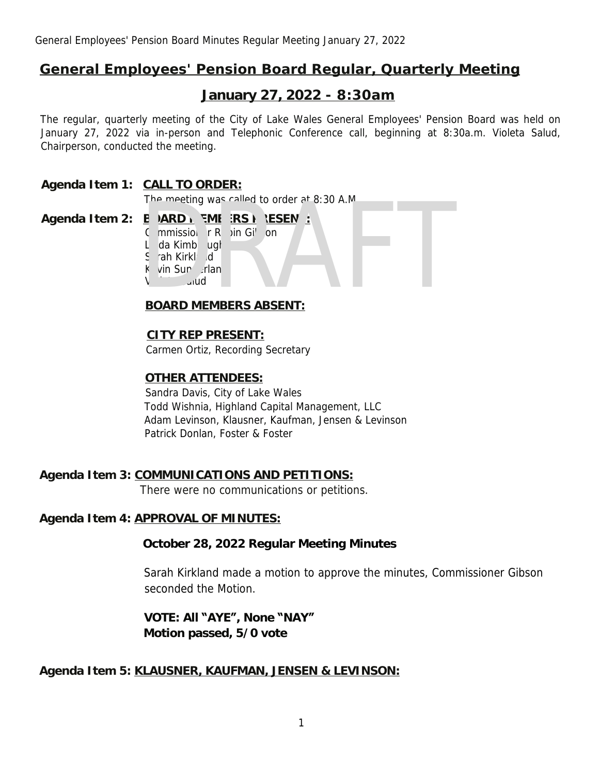# **General Employees' Pension Board Regular, Quarterly Meeting**

# **January 27, 2022 - 8:30am**

The regular, quarterly meeting of the City of Lake Wales General Employees' Pension Board was held on January 27, 2022 via in-person and Telephonic Conference call, beginning at 8:30a.m. Violeta Salud, Chairperson, conducted the meeting.

# **Agenda Item 1: CALL TO ORDER:**

The meeting was called to order at 8:30 A.M.

# Agenda Item 2: B ARD MEMBERS P. ESENT:

Commissioner Robin Gibson L da Kimb<sub>uq</sub>h S rah Kirkland K vin Sun rlan  $V^{\text{short}}$ The meeting was called to order at 8:30 A.M.<br>
B DARD IN SME ERS P. ESEN:<br>
C mmissiol FR Din Gib Dn<br>
L da Kimb Lugh<br>
S rah Kirkl: Id<br>
K vin Sun Jrlan<br>
V Jote Julid<br>
BOARD MEMBERS ABSENT:

# **BOARD MEMBERS ABSENT:**

# **CITY REP PRESENT:**

Carmen Ortiz, Recording Secretary

# **OTHER ATTENDEES:**

Sandra Davis, City of Lake Wales Todd Wishnia, Highland Capital Management, LLC Adam Levinson, Klausner, Kaufman, Jensen & Levinson Patrick Donlan, Foster & Foster

# **Agenda Item 3: COMMUNICATIONS AND PETITIONS:**

There were no communications or petitions.

### **Agenda Item 4: APPROVAL OF MINUTES:**

### **October 28, 2022 Regular Meeting Minutes**

Sarah Kirkland made a motion to approve the minutes, Commissioner Gibson seconded the Motion.

# **VOTE: All "AYE", None "NAY" Motion passed, 5/0 vote**

# **Agenda Item 5: KLAUSNER, KAUFMAN, JENSEN & LEVINSON:**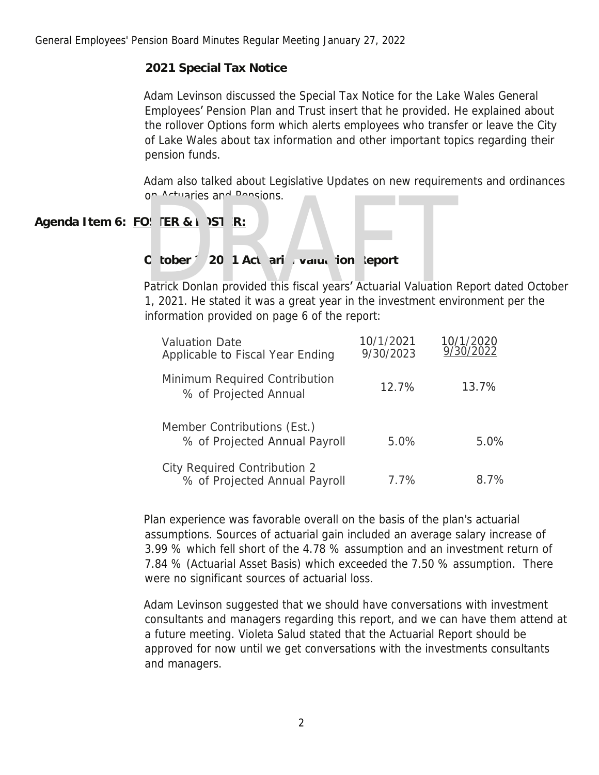# **2021 Special Tax Notice**

Adam Levinson discussed the Special Tax Notice for the Lake Wales General Employees' Pension Plan and Trust insert that he provided. He explained about the rollover Options form which alerts employees who transfer or leave the City of Lake Wales about tax information and other important topics regarding their pension funds.

Adam also talked about Legislative Updates on new requirements and ordinances on Actuaries and Pensions.

# Agenda Item 6: FO: [ER & FOSTER:

# O tober 1, 20 1 Ac uari<sup>2</sup> Valuation Report

Patrick Donlan provided this fiscal years' Actuarial Valuation Report dated October 1, 2021. He stated it was a great year in the investment environment per the information provided on page 6 of the report: The Actuaries and Pensions.<br>
20 **ER & 1 251 R:**<br>
20 **1 At uarizing Valuation Report**<br>
Patrick Donlan provided this fiscal years' Actuarial Valuation<br>
1, 2021. He stated it was a great year in the investment env

| <b>Valuation Date</b><br>Applicable to Fiscal Year Ending            | 10/1/2021<br>9/30/2023 | 10/1/2020<br>9/30/2022 |
|----------------------------------------------------------------------|------------------------|------------------------|
| Minimum Required Contribution<br>% of Projected Annual               | 12.7%                  | 13.7%                  |
| Member Contributions (Est.)<br>% of Projected Annual Payroll         | 5.0%                   | 5.0%                   |
| <b>City Required Contribution 2</b><br>% of Projected Annual Payroll | 7.7%                   | 8.7%                   |

Plan experience was favorable overall on the basis of the plan's actuarial assumptions. Sources of actuarial gain included an average salary increase of 3.99 % which fell short of the 4.78 % assumption and an investment return of 7.84 % (Actuarial Asset Basis) which exceeded the 7.50 % assumption. There were no significant sources of actuarial loss.

Adam Levinson suggested that we should have conversations with investment consultants and managers regarding this report, and we can have them attend at a future meeting. Violeta Salud stated that the Actuarial Report should be approved for now until we get conversations with the investments consultants and managers.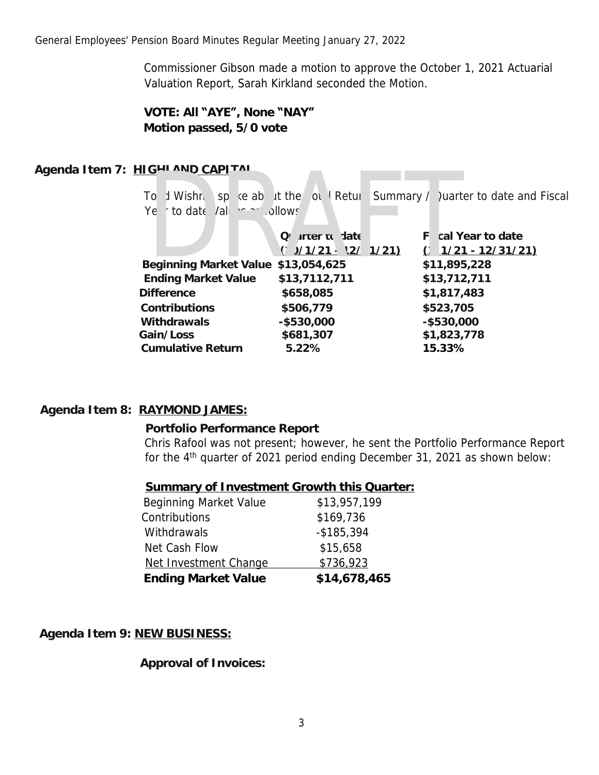Commissioner Gibson made a motion to approve the October 1, 2021 Actuarial Valuation Report, Sarah Kirkland seconded the Motion.

# **VOTE: All "AYE", None "NAY" Motion passed, 5/0 vote**

# **Agenda Item 7: HIGHLAND CAPITAL**

To d Wishnia spoke about the Total Return Summary / Quarter to date and Fiscal Ye r to date Values as jilows

| 11GHLAND CAPLIAL                    |                                        |                                                                          |  |
|-------------------------------------|----------------------------------------|--------------------------------------------------------------------------|--|
| Ye r to date Val es as / Jlows      |                                        | To d Wishn i sp ke about the fot. Return Summary / Quarter to date and F |  |
|                                     | Quarter to late<br>$(1/1/21 - 2/1/21)$ | F cal Year to date<br>$(1/21 - 12/31/21)$                                |  |
| Beginning Market Value \$13,054,625 |                                        | \$11,895,228                                                             |  |
| <b>Ending Market Value</b>          | \$13,7112,711                          | \$13,712,711                                                             |  |
| <b>Difference</b>                   | \$658,085                              | \$1,817,483                                                              |  |
| Contributions                       | \$506,779                              | \$523,705                                                                |  |
| Withdrawals                         | $-$ \$530,000                          | $-$ \$530,000                                                            |  |
| Gain/Loss                           | \$681,307                              | \$1,823,778                                                              |  |
| <b>Cumulative Return</b>            | 5.22%                                  | 15.33%                                                                   |  |
|                                     |                                        |                                                                          |  |

### **Agenda Item 8: RAYMOND JAMES:**

### **Portfolio Performance Report**

Chris Rafool was not present; however, he sent the Portfolio Performance Report for the 4<sup>th</sup> quarter of 2021 period ending December 31, 2021 as shown below:

| <b>Summary of Investment Growth this Quarter:</b> |              |
|---------------------------------------------------|--------------|
| Beginning Market Value                            | \$13,957,199 |
| Contributions                                     | \$169,736    |

| <b>Ending Market Value</b> | \$14,678,465  |
|----------------------------|---------------|
| Net Investment Change      | \$736,923     |
| Net Cash Flow              | \$15,658      |
| <b>Withdrawals</b>         | $-$ \$185,394 |
| Contributions              | \$169,736     |
|                            |               |

**Agenda Item 9: NEW BUSINESS:**

**Approval of Invoices:**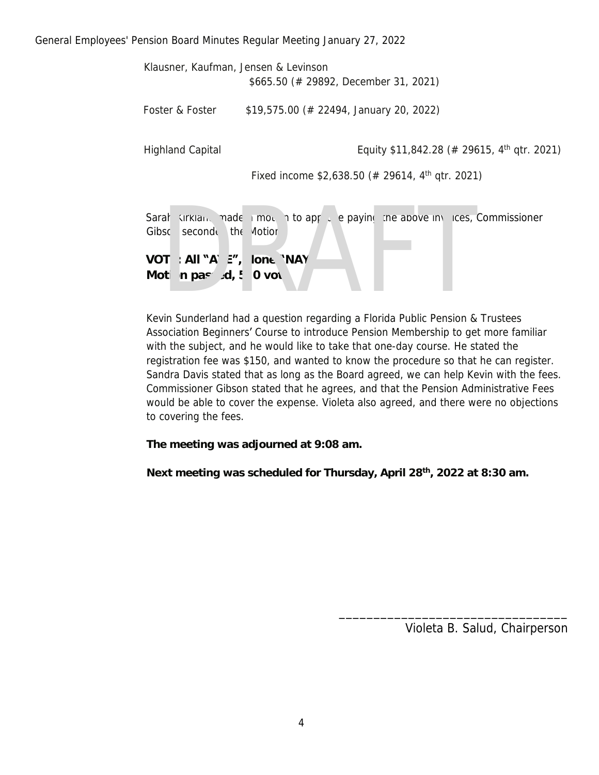General Employees' Pension Board Minutes Regular Meeting January 27, 2022

| Klausner, Kaufman, Jensen & Levinson |                                                                                |
|--------------------------------------|--------------------------------------------------------------------------------|
|                                      | $$665.50$ (# 29892, December 31, 2021)                                         |
| Foster & Foster                      | $$19,575.00 \; (\# 22494, January 20, 2022)$                                   |
| <b>Highland Capital</b>              | Equity \$11,842.28 (# 29615, 4 <sup>th</sup> qtr. 2021)                        |
|                                      | Fixed income \$2,638.50 (# 29614, $4th$ gtr. 2021)                             |
|                                      |                                                                                |
|                                      | Sarah Kirklan, made i mon, i to app i e paying the above invices, Commissioner |
| Gibsc second the Motion.             |                                                                                |
| VOT : All "A' E", Jor. "NAY          |                                                                                |
| Moti n pass d, ! '0 vc e             |                                                                                |
|                                      |                                                                                |
|                                      |                                                                                |
|                                      | Kevin Sunderland had a question regarding a Elorida Public Pension & Trustees  |

Kevin Sunderland had a question regarding a Florida Public Pension & Trustees Association Beginners' Course to introduce Pension Membership to get more familiar with the subject, and he would like to take that one-day course. He stated the registration fee was \$150, and wanted to know the procedure so that he can register. Sandra Davis stated that as long as the Board agreed, we can help Kevin with the fees. Commissioner Gibson stated that he agrees, and that the Pension Administrative Fees would be able to cover the expense. Violeta also agreed, and there were no objections to covering the fees.

**The meeting was adjourned at 9:08 am.**

**Next meeting was scheduled for Thursday, April 28th, 2022 at 8:30 am.**

Violeta B. Salud, Chairperson

\_\_\_\_\_\_\_\_\_\_\_\_\_\_\_\_\_\_\_\_\_\_\_\_\_\_\_\_\_\_\_\_\_